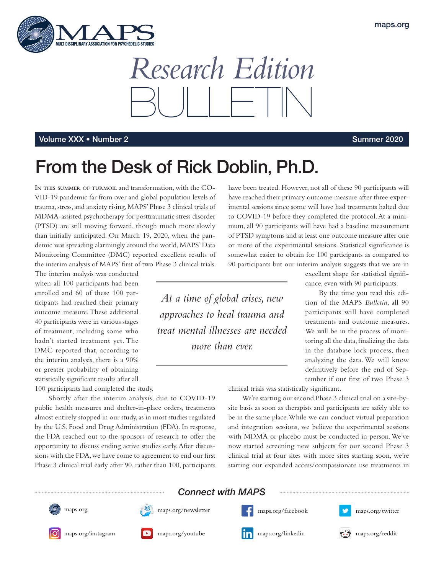

*Research Edition* BULLETIN

### Volume XXX • Number 2 Summer 2020

# From the Desk of Rick Doblin, Ph.D.

**In this summer of turmoil** and transformation, with the CO-VID-19 pandemic far from over and global population levels of trauma, stress, and anxiety rising, MAPS' Phase 3 clinical trials of MDMA-assisted psychotherapy for posttraumatic stress disorder (PTSD) are still moving forward, though much more slowly than initially anticipated. On March 19, 2020, when the pandemic was spreading alarmingly around the world, MAPS' Data Monitoring Committee (DMC) reported excellent results of the interim analysis of MAPS' first of two Phase 3 clinical trials.

The interim analysis was conducted when all 100 participants had been enrolled and 60 of these 100 participants had reached their primary outcome measure. These additional 40 participants were in various stages of treatment, including some who hadn't started treatment yet. The DMC reported that, according to the interim analysis, there is a 90% or greater probability of obtaining statistically significant results after all

100 participants had completed the study.

Shortly after the interim analysis, due to COVID-19 public health measures and shelter-in-place orders, treatments almost entirely stopped in our study, as in most studies regulated by the U.S. Food and Drug Administration (FDA). In response, the FDA reached out to the sponsors of research to offer the opportunity to discuss ending active studies early. After discussions with the FDA, we have come to agreement to end our first Phase 3 clinical trial early after 90, rather than 100, participants

have been treated. However, not all of these 90 participants will have reached their primary outcome measure after three experimental sessions since some will have had treatments halted due to COVID-19 before they completed the protocol. At a minimum, all 90 participants will have had a baseline measurement of PTSD symptoms and at least one outcome measure after one or more of the experimental sessions. Statistical significance is somewhat easier to obtain for 100 participants as compared to 90 participants but our interim analysis suggests that we are in

*At a time of global crises, new approaches to heal trauma and treat mental illnesses are needed more than ever.*

excellent shape for statistical significance, even with 90 participants.

By the time you read this edition of the MAPS *Bulletin*, all 90 participants will have completed treatments and outcome measures. We will be in the process of monitoring all the data, finalizing the data in the database lock process, then analyzing the data. We will know definitively before the end of September if our first of two Phase 3

clinical trials was statistically significant.

We're starting our second Phase 3 clinical trial on a site-bysite basis as soon as therapists and participants are safely able to be in the same place. While we can conduct virtual preparation and integration sessions, we believe the experimental sessions with MDMA or placebo must be conducted in person. We've now started screening new subjects for our second Phase 3 clinical trial at four sites with more sites starting soon, we're starting our expanded access/compassionate use treatments in













[maps.org/youtube](https://maps.org/youtube) [maps.org/instagram](https://maps.org/instagram) **maps.org/instagram** [maps.org/linkedin](https://maps.org/linkedin) **maps.org/linkedin** maps.org/[maps.org/reddit](https://maps.org/reddit)